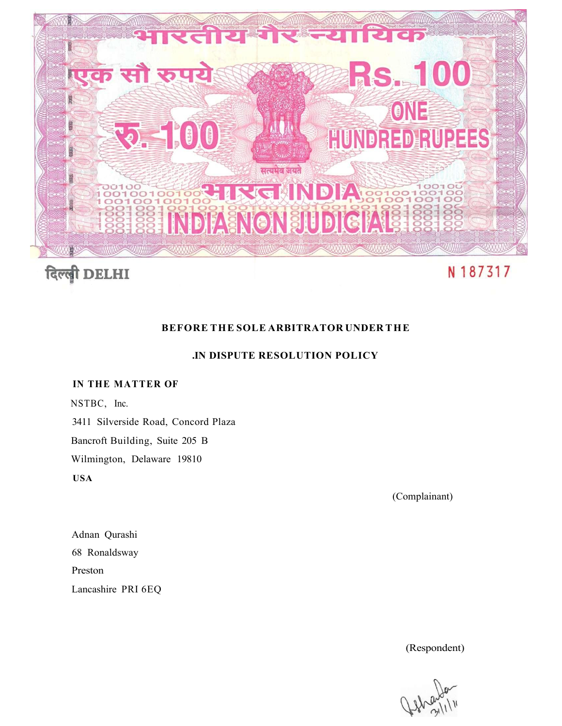

# **BEFORE THE SOLE ARBITRATOR UNDER THE**

## **.IN DISPUTE RESOLUTION POLICY**

## **IN THE MATTER OF**

NSTBC, Inc.

3411 Silverside Road, Concord Plaza

Bancroft Building, Suite 205 B

Wilmington, Delaware 19810

**USA** 

(Complainant)

Adnan Qurashi 68 Ronaldsway Preston Lancashire PRI 6EQ

(Respondent)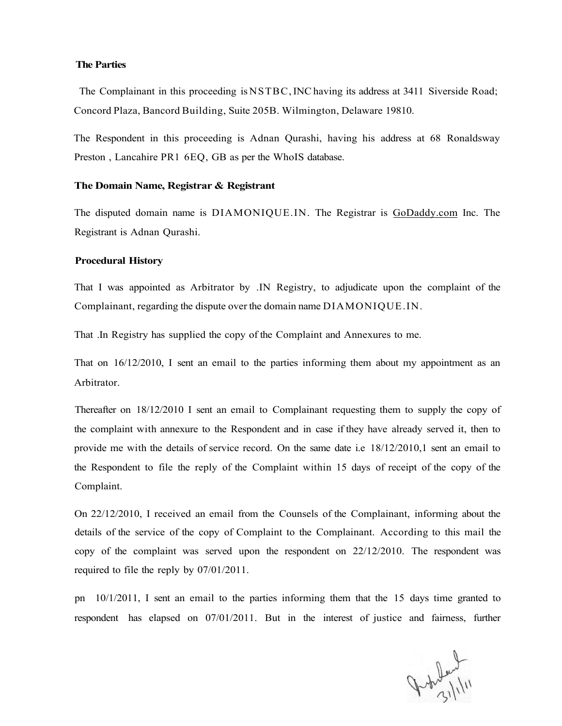#### **The Parties**

The Complainant in this proceeding is NSTBC, INC having its address at 3411 Siverside Road; Concord Plaza, Bancord Building, Suite 205B. Wilmington, Delaware 19810.

The Respondent in this proceeding is Adnan Qurashi, having his address at 68 Ronaldsway Preston , Lancahire PR1 6EQ, GB as per the WhoIS database.

## **The Domain Name, Registrar & Registrant**

The disputed domain name is DIAMONIQUE.IN. The Registrar is [GoDaddy.com](http://GoDaddy.com) Inc. The Registrant is Adnan Qurashi.

#### **Procedural History**

That I was appointed as Arbitrator by .IN Registry, to adjudicate upon the complaint of the Complainant, regarding the dispute over the domain name DIAMONIQUE.IN.

That .In Registry has supplied the copy of the Complaint and Annexures to me.

That on 16/12/2010, I sent an email to the parties informing them about my appointment as an Arbitrator.

Thereafter on 18/12/2010 I sent an email to Complainant requesting them to supply the copy of the complaint with annexure to the Respondent and in case if they have already served it, then to provide me with the details of service record. On the same date i.e 18/12/2010,1 sent an email to the Respondent to file the reply of the Complaint within 15 days of receipt of the copy of the Complaint.

On 22/12/2010, I received an email from the Counsels of the Complainant, informing about the details of the service of the copy of Complaint to the Complainant. According to this mail the copy of the complaint was served upon the respondent on 22/12/2010. The respondent was required to file the reply by 07/01/2011.

pn 10/1/2011, I sent an email to the parties informing them that the 15 days time granted to respondent has elapsed on 07/01/2011. But in the interest of justice and fairness, further

John Lund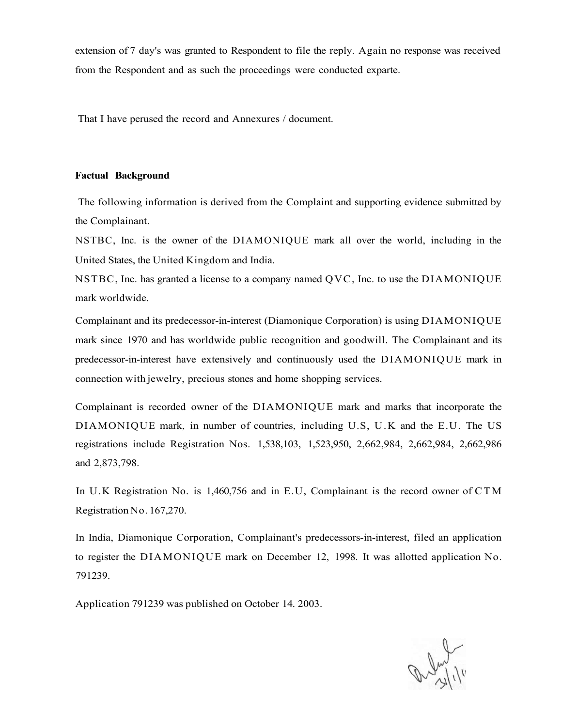extension of 7 day's was granted to Respondent to file the reply. Again no response was received from the Respondent and as such the proceedings were conducted exparte.

That I have perused the record and Annexures / document.

#### **Factual Background**

The following information is derived from the Complaint and supporting evidence submitted by the Complainant.

NSTBC, Inc. is the owner of the DIAMONIQUE mark all over the world, including in the United States, the United Kingdom and India.

NSTBC, Inc. has granted a license to a company named QVC, Inc. to use the DIAMONIQUE mark worldwide.

Complainant and its predecessor-in-interest (Diamonique Corporation) is using DIAMONIQUE mark since 1970 and has worldwide public recognition and goodwill. The Complainant and its predecessor-in-interest have extensively and continuously used the DIAMONIQUE mark in connection with jewelry, precious stones and home shopping services.

Complainant is recorded owner of the DIAMONIQUE mark and marks that incorporate the DIAMONIQUE mark, in number of countries, including U.S, U.K and the E.U. The US registrations include Registration Nos. 1,538,103, 1,523,950, 2,662,984, 2,662,984, 2,662,986 and 2,873,798.

In U.K Registration No. is 1,460,756 and in E.U, Complainant is the record owner of CTM Registration No. 167,270.

In India, Diamonique Corporation, Complainant's predecessors-in-interest, filed an application to register the DIAMONIQUE mark on December 12, 1998. It was allotted application No. 791239.

Application 791239 was published on October 14. 2003.

arly 11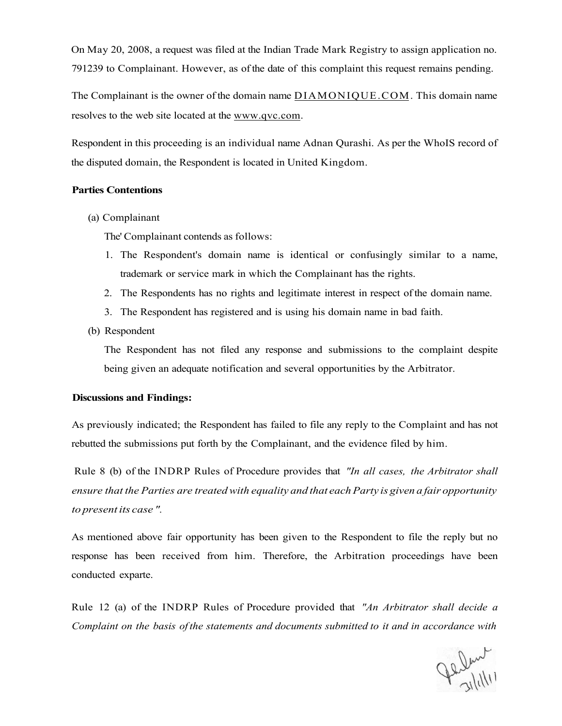On May 20, 2008, a request was filed at the Indian Trade Mark Registry to assign application no. 791239 to Complainant. However, as of the date of this complaint this request remains pending.

The Complainant is the owner of the domain name [DIAMONIQUE.COM.](http://DIAMONIQUE.COM) This domain name resolves to the web site located at the [www.qvc.com.](http://www.qvc.com)

Respondent in this proceeding is an individual name Adnan Qurashi. As per the WhoIS record of the disputed domain, the Respondent is located in United Kingdom.

#### **Parties Contentions**

(a) Complainant

The' Complainant contends as follows:

- 1. The Respondent's domain name is identical or confusingly similar to a name, trademark or service mark in which the Complainant has the rights.
- 2. The Respondents has no rights and legitimate interest in respect of the domain name.
- 3. The Respondent has registered and is using his domain name in bad faith.
- (b) Respondent

The Respondent has not filed any response and submissions to the complaint despite being given an adequate notification and several opportunities by the Arbitrator.

## **Discussions and Findings:**

As previously indicated; the Respondent has failed to file any reply to the Complaint and has not rebutted the submissions put forth by the Complainant, and the evidence filed by him.

Rule 8 (b) of the INDRP Rules of Procedure provides that *"In all cases, the Arbitrator shall ensure that the Parties are treated with equality and that each Party is given a fair opportunity to present its case ".* 

As mentioned above fair opportunity has been given to the Respondent to file the reply but no response has been received from him. Therefore, the Arbitration proceedings have been conducted exparte.

Rule 12 (a) of the INDRP Rules of Procedure provided that *"An Arbitrator shall decide a Complaint on the basis of the statements and documents submitted to it and in accordance with* 

Jelen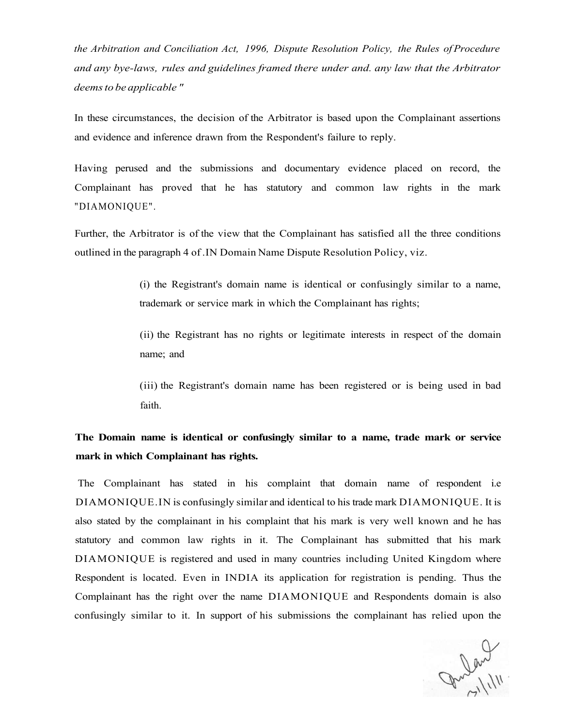*the Arbitration and Conciliation Act, 1996, Dispute Resolution Policy, the Rules of Procedure and any bye-laws, rules and guidelines framed there under and. any law that the Arbitrator deems to be applicable "* 

In these circumstances, the decision of the Arbitrator is based upon the Complainant assertions and evidence and inference drawn from the Respondent's failure to reply.

Having perused and the submissions and documentary evidence placed on record, the Complainant has proved that he has statutory and common law rights in the mark "DIAMONIQUE".

Further, the Arbitrator is of the view that the Complainant has satisfied all the three conditions outlined in the paragraph 4 of .IN Domain Name Dispute Resolution Policy, viz.

> (i) the Registrant's domain name is identical or confusingly similar to a name, trademark or service mark in which the Complainant has rights;

> (ii) the Registrant has no rights or legitimate interests in respect of the domain name; and

> (iii) the Registrant's domain name has been registered or is being used in bad faith.

# **The Domain name is identical or confusingly similar to a name, trade mark or service mark in which Complainant has rights.**

The Complainant has stated in his complaint that domain name of respondent i.e DIAMONIQUE.IN is confusingly similar and identical to his trade mark DIAMONIQUE. It is also stated by the complainant in his complaint that his mark is very well known and he has statutory and common law rights in it. The Complainant has submitted that his mark DIAMONIQUE is registered and used in many countries including United Kingdom where Respondent is located. Even in INDIA its application for registration is pending. Thus the Complainant has the right over the name DIAMONIQUE and Respondents domain is also confusingly similar to it. In support of his submissions the complainant has relied upon the

gulard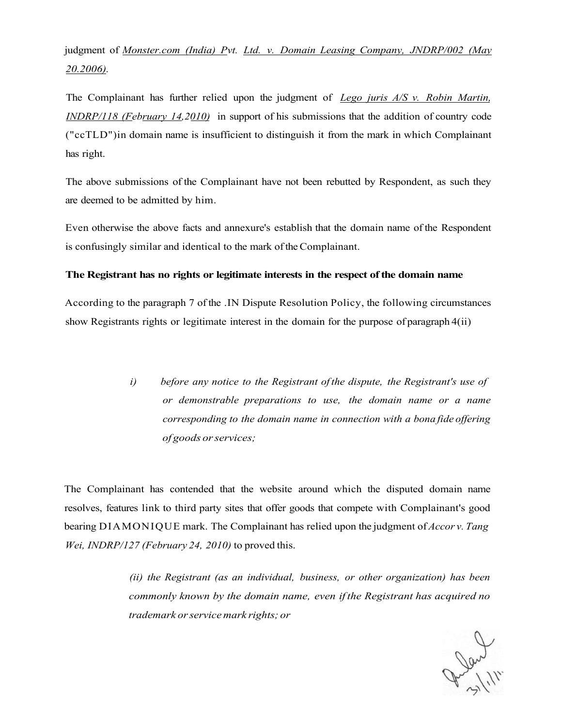judgment of *[Monster.com \(](http://Monster.com)India) Pvt. Ltd. v. Domain Leasing Company, JNDRP/002 (May 20.2006).* 

The Complainant has further relied upon the judgment of *Lego juris A/S v. Robin Martin, INDRP/118 (February 14,2010)* in support of his submissions that the addition of country code ("ccTLD")in domain name is insufficient to distinguish it from the mark in which Complainant has right.

The above submissions of the Complainant have not been rebutted by Respondent, as such they are deemed to be admitted by him.

Even otherwise the above facts and annexure's establish that the domain name of the Respondent is confusingly similar and identical to the mark of the Complainant.

## **The Registrant has no rights or legitimate interests in the respect of the domain name**

According to the paragraph 7 of the .IN Dispute Resolution Policy, the following circumstances show Registrants rights or legitimate interest in the domain for the purpose of paragraph 4(ii)

> *i) before any notice to the Registrant of the dispute, the Registrant's use of or demonstrable preparations to use, the domain name or a name corresponding to the domain name in connection with a bona fide offering of goods or services;*

The Complainant has contended that the website around which the disputed domain name resolves, features link to third party sites that offer goods that compete with Complainant's good bearing DIAMONIQUE mark. The Complainant has relied upon the judgment of *Accor v. Tang Wei, INDRP/127 (February 24, 2010)* to proved this.

> *(ii) the Registrant (as an individual, business, or other organization) has been commonly known by the domain name, even if the Registrant has acquired no trademark or service mark rights; or*

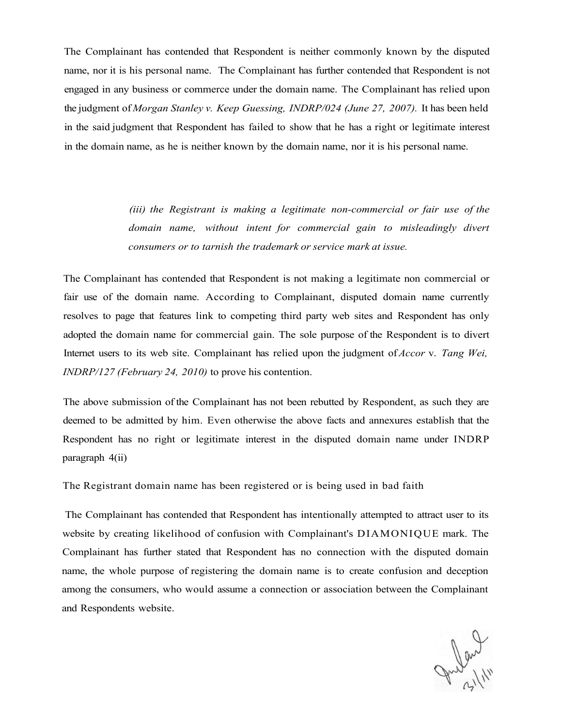The Complainant has contended that Respondent is neither commonly known by the disputed name, nor it is his personal name. The Complainant has further contended that Respondent is not engaged in any business or commerce under the domain name. The Complainant has relied upon the judgment of *Morgan Stanley v. Keep Guessing, INDRP/024 (June 27, 2007).* It has been held in the said judgment that Respondent has failed to show that he has a right or legitimate interest in the domain name, as he is neither known by the domain name, nor it is his personal name.

> *(iii) the Registrant is making a legitimate non-commercial or fair use of the domain name, without intent for commercial gain to misleadingly divert consumers or to tarnish the trademark or service mark at issue.*

The Complainant has contended that Respondent is not making a legitimate non commercial or fair use of the domain name. According to Complainant, disputed domain name currently resolves to page that features link to competing third party web sites and Respondent has only adopted the domain name for commercial gain. The sole purpose of the Respondent is to divert Internet users to its web site. Complainant has relied upon the judgment of *Accor* v. *Tang Wei, INDRP/127 (February 24, 2010)* to prove his contention.

The above submission of the Complainant has not been rebutted by Respondent, as such they are deemed to be admitted by him. Even otherwise the above facts and annexures establish that the Respondent has no right or legitimate interest in the disputed domain name under INDRP paragraph 4(ii)

The Registrant domain name has been registered or is being used in bad faith

The Complainant has contended that Respondent has intentionally attempted to attract user to its website by creating likelihood of confusion with Complainant's DIAMONIQUE mark. The Complainant has further stated that Respondent has no connection with the disputed domain name, the whole purpose of registering the domain name is to create confusion and deception among the consumers, who would assume a connection or association between the Complainant and Respondents website.

Julent 111